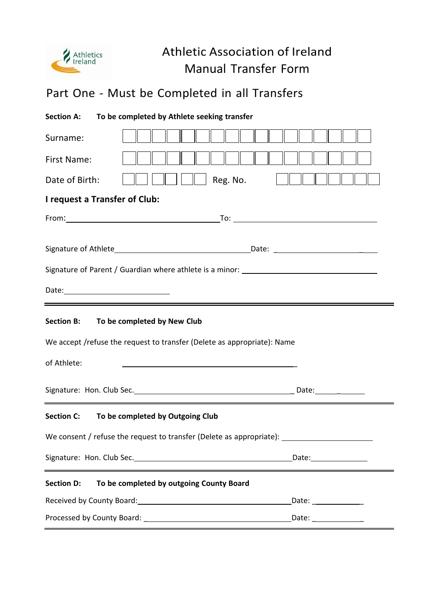

## Athletic Association of Ireland Manual Transfer Form

## Part One - Must be Completed in all Transfers

| To be completed by Athlete seeking transfer<br><b>Section A:</b>                                                                            |                      |
|---------------------------------------------------------------------------------------------------------------------------------------------|----------------------|
| Surname:                                                                                                                                    |                      |
| First Name:                                                                                                                                 |                      |
| Reg. No.<br>Date of Birth:                                                                                                                  |                      |
| I request a Transfer of Club:                                                                                                               |                      |
|                                                                                                                                             |                      |
|                                                                                                                                             |                      |
| Signature of Parent / Guardian where athlete is a minor: ________________________                                                           |                      |
| Date: <u>Date: Explorer</u>                                                                                                                 |                      |
| <u> 1989 - Johann Stoff, amerikansk politiker (d. 1989)</u><br>To be completed by New Club<br><b>Section B:</b>                             |                      |
| We accept /refuse the request to transfer (Delete as appropriate): Name                                                                     |                      |
| of Athlete:                                                                                                                                 |                      |
| Signature: Hon. Club Sec. Manual Communication of Date: Manual Communication of Date:<br><u> 1989 - Johann Barn, amerikansk politiker (</u> |                      |
| Section C: To be completed by Outgoing Club                                                                                                 |                      |
| We consent / refuse the request to transfer (Delete as appropriate):                                                                        |                      |
|                                                                                                                                             |                      |
| <b>Section D:</b><br>To be completed by outgoing County Board                                                                               |                      |
| Received by County Board: Manual Allen Manual Allen Manual Allen Manual Allen Manual Allen Manual Allen Manual                              | Date: _____________  |
|                                                                                                                                             | Date: ______________ |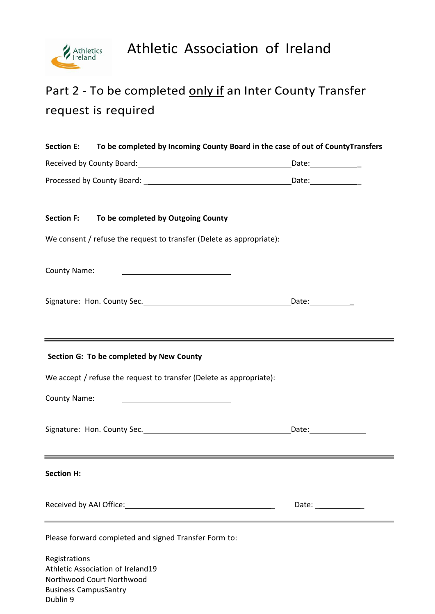

# Part 2 - To be completed only if an Inter County Transfer request is required

| To be completed by Incoming County Board in the case of out of CountyTransfers<br><b>Section E:</b> |                                                                       |                     |
|-----------------------------------------------------------------------------------------------------|-----------------------------------------------------------------------|---------------------|
|                                                                                                     |                                                                       |                     |
|                                                                                                     |                                                                       |                     |
| <b>Section F:</b>                                                                                   | To be completed by Outgoing County                                    |                     |
|                                                                                                     | We consent / refuse the request to transfer (Delete as appropriate):  |                     |
| <b>County Name:</b>                                                                                 |                                                                       |                     |
|                                                                                                     |                                                                       |                     |
|                                                                                                     |                                                                       |                     |
|                                                                                                     | Section G: To be completed by New County                              |                     |
|                                                                                                     | We accept / refuse the request to transfer (Delete as appropriate):   |                     |
| County Name:                                                                                        | <u> 1980 - Johann Barbara, martin a</u>                               |                     |
|                                                                                                     |                                                                       |                     |
| <b>Section H:</b>                                                                                   |                                                                       |                     |
|                                                                                                     |                                                                       | Date: _____________ |
|                                                                                                     | Please forward completed and signed Transfer Form to:                 |                     |
| Registrations                                                                                       |                                                                       |                     |
|                                                                                                     | <b>Athletic Association of Ireland19</b><br>Northwood Court Northwood |                     |
|                                                                                                     | <b>Business CampusSantry</b>                                          |                     |

Dublin 9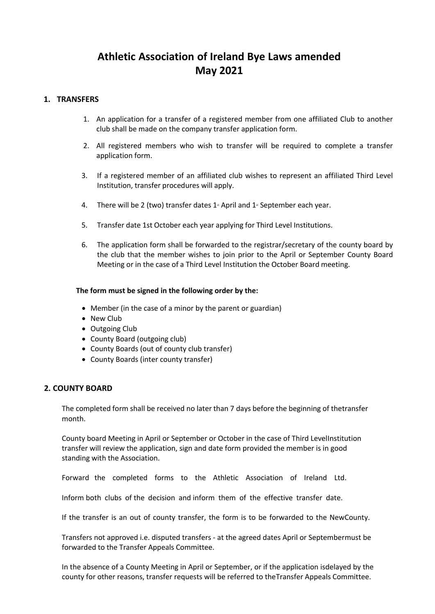### **Athletic Association of Ireland Bye Laws amended May 2021**

#### **1. TRANSFERS**

- 1. An application for a transfer of a registered member from one affiliated Club to another club shall be made on the company transfer application form.
- 2. All registered members who wish to transfer will be required to complete a transfer application form.
- 3. If a registered member of an affiliated club wishes to represent an affiliated Third Level Institution, transfer procedures will apply.
- 4. There will be 2 (two) transfer dates  $1*$  April and  $1*$  September each year.
- 5. Transfer date 1st October each year applying for Third Level Institutions.
- 6. The application form shall be forwarded to the registrar/secretary of the county board by the club that the member wishes to join prior to the April or September County Board Meeting or in the case of a Third Level Institution the October Board meeting.

#### **The form must be signed in the following order by the:**

- Member (in the case of a minor by the parent or guardian)
- New Club
- Outgoing Club
- County Board (outgoing club)
- County Boards (out of county club transfer)
- County Boards (inter county transfer)

#### **2. COUNTY BOARD**

The completed form shall be received no later than 7 days before the beginning of thetransfer month.

County board Meeting in April or September or October in the case of Third LevelInstitution transfer will review the application, sign and date form provided the member is in good standing with the Association.

Forward the completed forms to the Athletic Association of Ireland Ltd.

Inform both clubs of the decision and inform them of the effective transfer date.

If the transfer is an out of county transfer, the form is to be forwarded to the NewCounty.

Transfers not approved i.e. disputed transfers - at the agreed dates April or Septembermust be forwarded to the Transfer Appeals Committee.

In the absence of a County Meeting in April or September, or if the application isdelayed by the county for other reasons, transfer requests will be referred to theTransfer Appeals Committee.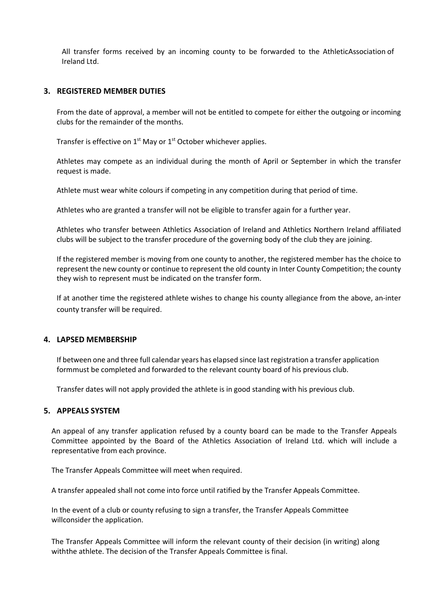All transfer forms received by an incoming county to be forwarded to the AthleticAssociation of Ireland Ltd.

#### **3. REGISTERED MEMBER DUTIES**

From the date of approval, a member will not be entitled to compete for either the outgoing or incoming clubs for the remainder of the months.

Transfer is effective on  $1<sup>st</sup>$  May or  $1<sup>st</sup>$  October whichever applies.

Athletes may compete as an individual during the month of April or September in which the transfer request is made.

Athlete must wear white colours if competing in any competition during that period of time.

Athletes who are granted a transfer will not be eligible to transfer again for a further year.

Athletes who transfer between Athletics Association of Ireland and Athletics Northern Ireland affiliated clubs will be subject to the transfer procedure of the governing body of the club they are joining.

If the registered member is moving from one county to another, the registered member has the choice to represent the new county or continue to represent the old county in Inter County Competition; the county they wish to represent must be indicated on the transfer form.

If at another time the registered athlete wishes to change his county allegiance from the above, an-inter county transfer will be required.

#### **4. LAPSED MEMBERSHIP**

If between one and three full calendar years has elapsed since last registration a transfer application formmust be completed and forwarded to the relevant county board of his previous club.

Transfer dates will not apply provided the athlete is in good standing with his previous club.

#### **5. APPEALS SYSTEM**

An appeal of any transfer application refused by a county board can be made to the Transfer Appeals Committee appointed by the Board of the Athletics Association of Ireland Ltd. which will include a representative from each province.

The Transfer Appeals Committee will meet when required.

A transfer appealed shall not come into force until ratified by the Transfer Appeals Committee.

In the event of a club or county refusing to sign a transfer, the Transfer Appeals Committee willconsider the application.

The Transfer Appeals Committee will inform the relevant county of their decision (in writing) along withthe athlete. The decision of the Transfer Appeals Committee is final.